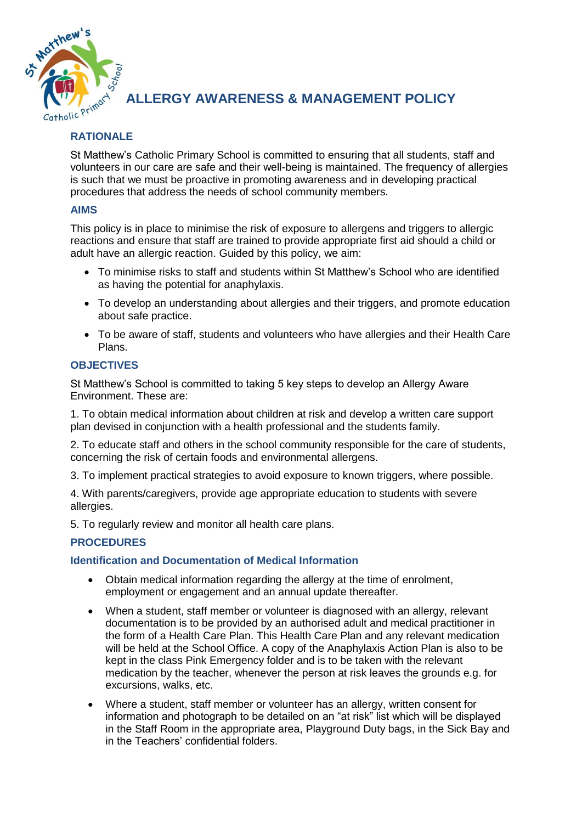

**ALLERGY AWARENESS & MANAGEMENT POLICY**

# **RATIONALE**

St Matthew's Catholic Primary School is committed to ensuring that all students, staff and volunteers in our care are safe and their well-being is maintained. The frequency of allergies is such that we must be proactive in promoting awareness and in developing practical procedures that address the needs of school community members.

## **AIMS**

This policy is in place to minimise the risk of exposure to allergens and triggers to allergic reactions and ensure that staff are trained to provide appropriate first aid should a child or adult have an allergic reaction. Guided by this policy, we aim:

- To minimise risks to staff and students within St Matthew's School who are identified as having the potential for anaphylaxis.
- To develop an understanding about allergies and their triggers, and promote education about safe practice.
- To be aware of staff, students and volunteers who have allergies and their Health Care Plans.

### **OBJECTIVES**

St Matthew's School is committed to taking 5 key steps to develop an Allergy Aware Environment. These are:

1. To obtain medical information about children at risk and develop a written care support plan devised in conjunction with a health professional and the students family.

2. To educate staff and others in the school community responsible for the care of students, concerning the risk of certain foods and environmental allergens.

3. To implement practical strategies to avoid exposure to known triggers, where possible.

4. With parents/caregivers, provide age appropriate education to students with severe allergies.

5. To regularly review and monitor all health care plans.

## **PROCEDURES**

## **Identification and Documentation of Medical Information**

- Obtain medical information regarding the allergy at the time of enrolment, employment or engagement and an annual update thereafter.
- When a student, staff member or volunteer is diagnosed with an allergy, relevant documentation is to be provided by an authorised adult and medical practitioner in the form of a Health Care Plan. This Health Care Plan and any relevant medication will be held at the School Office. A copy of the Anaphylaxis Action Plan is also to be kept in the class Pink Emergency folder and is to be taken with the relevant medication by the teacher, whenever the person at risk leaves the grounds e.g. for excursions, walks, etc.
- Where a student, staff member or volunteer has an allergy, written consent for information and photograph to be detailed on an "at risk" list which will be displayed in the Staff Room in the appropriate area, Playground Duty bags, in the Sick Bay and in the Teachers' confidential folders.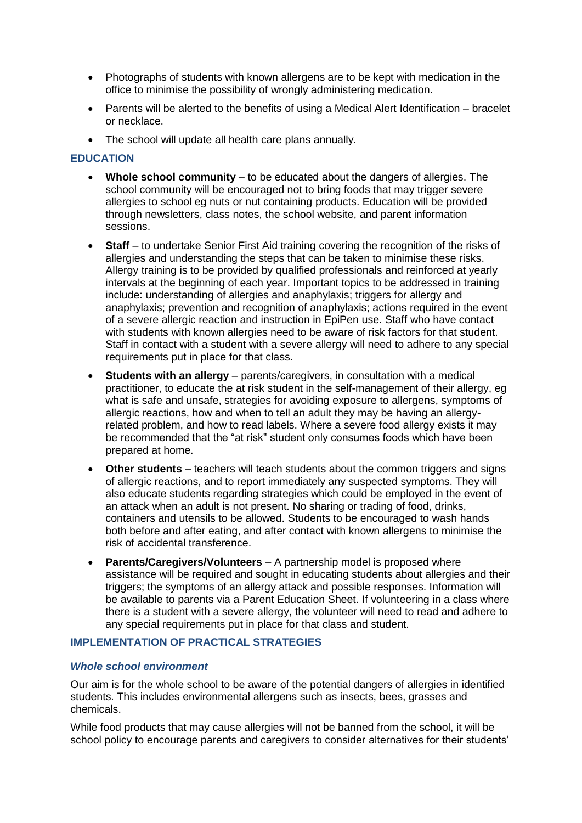- Photographs of students with known allergens are to be kept with medication in the office to minimise the possibility of wrongly administering medication.
- Parents will be alerted to the benefits of using a Medical Alert Identification bracelet or necklace.
- The school will update all health care plans annually.

## **EDUCATION**

- **Whole school community** to be educated about the dangers of allergies. The school community will be encouraged not to bring foods that may trigger severe allergies to school eg nuts or nut containing products. Education will be provided through newsletters, class notes, the school website, and parent information sessions.
- **Staff** to undertake Senior First Aid training covering the recognition of the risks of allergies and understanding the steps that can be taken to minimise these risks. Allergy training is to be provided by qualified professionals and reinforced at yearly intervals at the beginning of each year. Important topics to be addressed in training include: understanding of allergies and anaphylaxis; triggers for allergy and anaphylaxis; prevention and recognition of anaphylaxis; actions required in the event of a severe allergic reaction and instruction in EpiPen use. Staff who have contact with students with known allergies need to be aware of risk factors for that student. Staff in contact with a student with a severe allergy will need to adhere to any special requirements put in place for that class.
- **Students with an allergy** parents/caregivers, in consultation with a medical practitioner, to educate the at risk student in the self-management of their allergy, eg what is safe and unsafe, strategies for avoiding exposure to allergens, symptoms of allergic reactions, how and when to tell an adult they may be having an allergyrelated problem, and how to read labels. Where a severe food allergy exists it may be recommended that the "at risk" student only consumes foods which have been prepared at home.
- **Other students** teachers will teach students about the common triggers and signs of allergic reactions, and to report immediately any suspected symptoms. They will also educate students regarding strategies which could be employed in the event of an attack when an adult is not present. No sharing or trading of food, drinks, containers and utensils to be allowed. Students to be encouraged to wash hands both before and after eating, and after contact with known allergens to minimise the risk of accidental transference.
- **Parents/Caregivers/Volunteers** A partnership model is proposed where assistance will be required and sought in educating students about allergies and their triggers; the symptoms of an allergy attack and possible responses. Information will be available to parents via a Parent Education Sheet. If volunteering in a class where there is a student with a severe allergy, the volunteer will need to read and adhere to any special requirements put in place for that class and student.

## **IMPLEMENTATION OF PRACTICAL STRATEGIES**

#### *Whole school environment*

Our aim is for the whole school to be aware of the potential dangers of allergies in identified students. This includes environmental allergens such as insects, bees, grasses and chemicals.

While food products that may cause allergies will not be banned from the school, it will be school policy to encourage parents and caregivers to consider alternatives for their students'